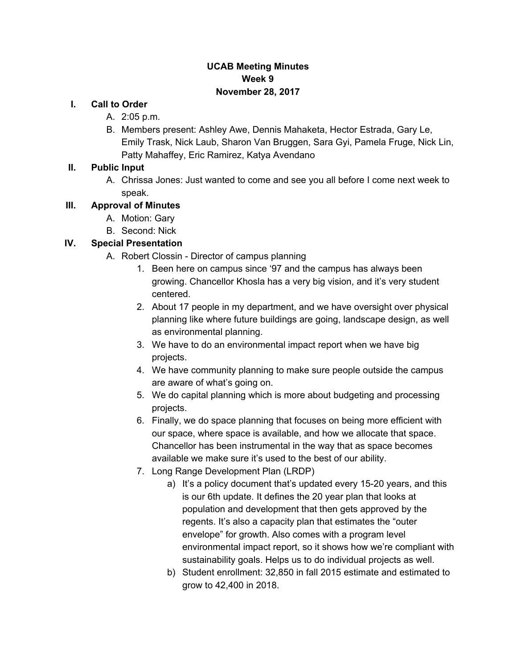#### **UCAB Meeting Minutes Week 9 November 28, 2017**

#### **I. Call to Order**

- A. 2:05 p.m.
- B. Members present: Ashley Awe, Dennis Mahaketa, Hector Estrada, Gary Le, Emily Trask, Nick Laub, Sharon Van Bruggen, Sara Gyi, Pamela Fruge, Nick Lin, Patty Mahaffey, Eric Ramirez, Katya Avendano

#### **II. Public Input**

A. Chrissa Jones: Just wanted to come and see you all before I come next week to speak.

#### **III. Approval of Minutes**

- A. Motion: Gary
- B. Second: Nick

## **IV. Special Presentation**

- A. Robert Clossin Director of campus planning
	- 1. Been here on campus since '97 and the campus has always been growing. Chancellor Khosla has a very big vision, and it's very student centered.
	- 2. About 17 people in my department, and we have oversight over physical planning like where future buildings are going, landscape design, as well as environmental planning.
	- 3. We have to do an environmental impact report when we have big projects.
	- 4. We have community planning to make sure people outside the campus are aware of what's going on.
	- 5. We do capital planning which is more about budgeting and processing projects.
	- 6. Finally, we do space planning that focuses on being more efficient with our space, where space is available, and how we allocate that space. Chancellor has been instrumental in the way that as space becomes available we make sure it's used to the best of our ability.
	- 7. Long Range Development Plan (LRDP)
		- a) It's a policy document that's updated every 15-20 years, and this is our 6th update. It defines the 20 year plan that looks at population and development that then gets approved by the regents. It's also a capacity plan that estimates the "outer envelope" for growth. Also comes with a program level environmental impact report, so it shows how we're compliant with sustainability goals. Helps us to do individual projects as well.
		- b) Student enrollment: 32,850 in fall 2015 estimate and estimated to grow to 42,400 in 2018.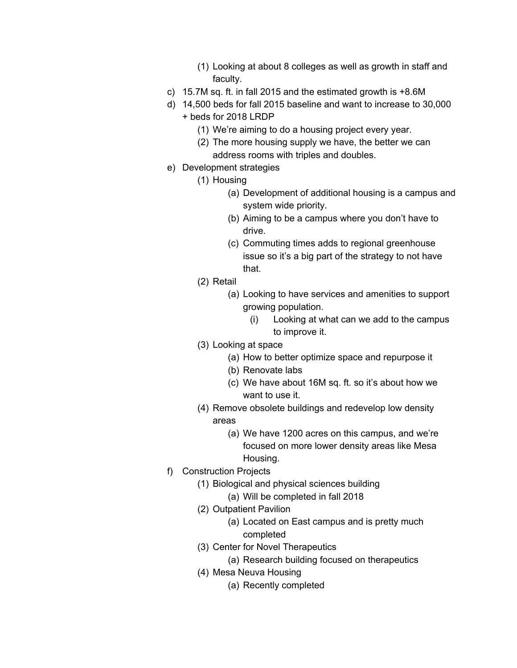- (1) Looking at about 8 colleges as well as growth in staff and faculty.
- c) 15.7M sq. ft. in fall 2015 and the estimated growth is +8.6M
- d) 14,500 beds for fall 2015 baseline and want to increase to 30,000 + beds for 2018 LRDP
	- (1) We're aiming to do a housing project every year.
	- (2) The more housing supply we have, the better we can address rooms with triples and doubles.
- e) Development strategies
	- (1) Housing
		- (a) Development of additional housing is a campus and system wide priority.
		- (b) Aiming to be a campus where you don't have to drive.
		- (c) Commuting times adds to regional greenhouse issue so it's a big part of the strategy to not have that.
	- (2) Retail
		- (a) Looking to have services and amenities to support growing population.
			- (i) Looking at what can we add to the campus to improve it.
	- (3) Looking at space
		- (a) How to better optimize space and repurpose it
		- (b) Renovate labs
		- (c) We have about 16M sq. ft. so it's about how we want to use it.
	- (4) Remove obsolete buildings and redevelop low density areas
		- (a) We have 1200 acres on this campus, and we're focused on more lower density areas like Mesa Housing.
- f) Construction Projects
	- (1) Biological and physical sciences building
		- (a) Will be completed in fall 2018
	- (2) Outpatient Pavilion
		- (a) Located on East campus and is pretty much completed
	- (3) Center for Novel Therapeutics
		- (a) Research building focused on therapeutics
	- (4) Mesa Neuva Housing
		- (a) Recently completed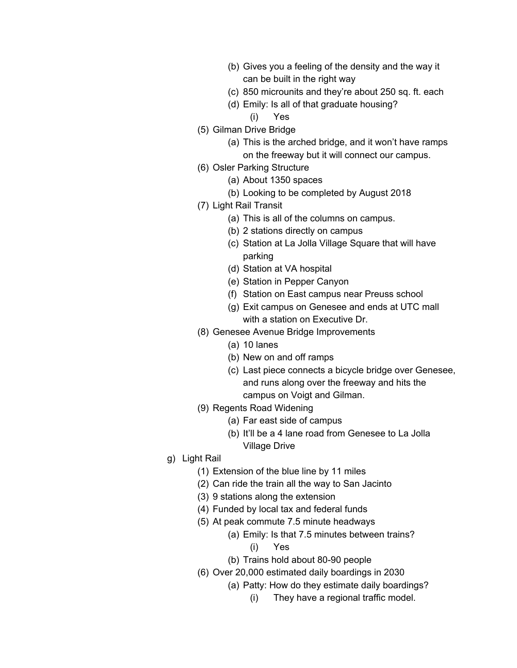- (b) Gives you a feeling of the density and the way it can be built in the right way
- (c) 850 microunits and they're about 250 sq. ft. each
- (d) Emily: Is all of that graduate housing?
	- (i) Yes
- (5) Gilman Drive Bridge
	- (a) This is the arched bridge, and it won't have ramps on the freeway but it will connect our campus.
- (6) Osler Parking Structure
	- (a) About 1350 spaces
	- (b) Looking to be completed by August 2018
- (7) Light Rail Transit
	- (a) This is all of the columns on campus.
	- (b) 2 stations directly on campus
	- (c) Station at La Jolla Village Square that will have parking
	- (d) Station at VA hospital
	- (e) Station in Pepper Canyon
	- (f) Station on East campus near Preuss school
	- (g) Exit campus on Genesee and ends at UTC mall with a station on Executive Dr.
- (8) Genesee Avenue Bridge Improvements
	- (a) 10 lanes
	- (b) New on and off ramps
	- (c) Last piece connects a bicycle bridge over Genesee, and runs along over the freeway and hits the campus on Voigt and Gilman.
- (9) Regents Road Widening
	- (a) Far east side of campus
	- (b) It'll be a 4 lane road from Genesee to La Jolla Village Drive
- g) Light Rail
	- (1) Extension of the blue line by 11 miles
	- (2) Can ride the train all the way to San Jacinto
	- (3) 9 stations along the extension
	- (4) Funded by local tax and federal funds
	- (5) At peak commute 7.5 minute headways
		- (a) Emily: Is that 7.5 minutes between trains?
			- (i) Yes
		- (b) Trains hold about 80-90 people
	- (6) Over 20,000 estimated daily boardings in 2030
		- (a) Patty: How do they estimate daily boardings?
			- (i) They have a regional traffic model.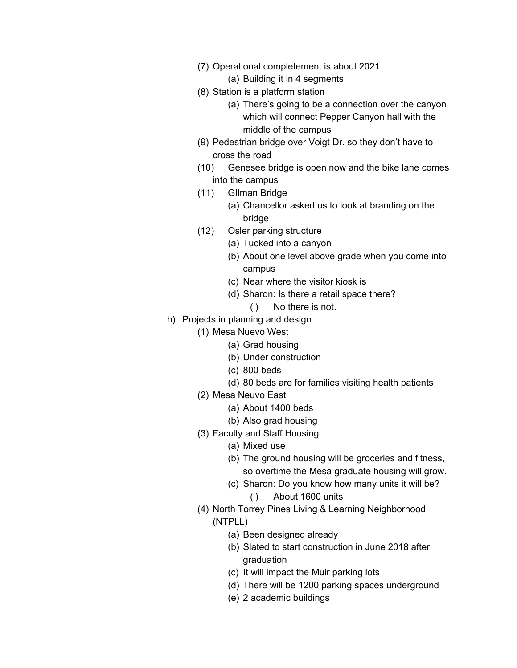- (7) Operational completement is about 2021
	- (a) Building it in 4 segments
- (8) Station is a platform station
	- (a) There's going to be a connection over the canyon which will connect Pepper Canyon hall with the middle of the campus
- (9) Pedestrian bridge over Voigt Dr. so they don't have to cross the road
- (10) Genesee bridge is open now and the bike lane comes into the campus
- (11) GIlman Bridge
	- (a) Chancellor asked us to look at branding on the bridge
- (12) Osler parking structure
	- (a) Tucked into a canyon
	- (b) About one level above grade when you come into campus
	- (c) Near where the visitor kiosk is
	- (d) Sharon: Is there a retail space there?
		- (i) No there is not.
- h) Projects in planning and design
	- (1) Mesa Nuevo West
		- (a) Grad housing
			- (b) Under construction
			- (c) 800 beds
			- (d) 80 beds are for families visiting health patients
		- (2) Mesa Neuvo East
			- (a) About 1400 beds
			- (b) Also grad housing
		- (3) Faculty and Staff Housing
			- (a) Mixed use
			- (b) The ground housing will be groceries and fitness, so overtime the Mesa graduate housing will grow.
			- (c) Sharon: Do you know how many units it will be?
				- (i) About 1600 units
		- (4) North Torrey Pines Living & Learning Neighborhood (NTPLL)
			- (a) Been designed already
			- (b) Slated to start construction in June 2018 after graduation
			- (c) It will impact the Muir parking lots
			- (d) There will be 1200 parking spaces underground
			- (e) 2 academic buildings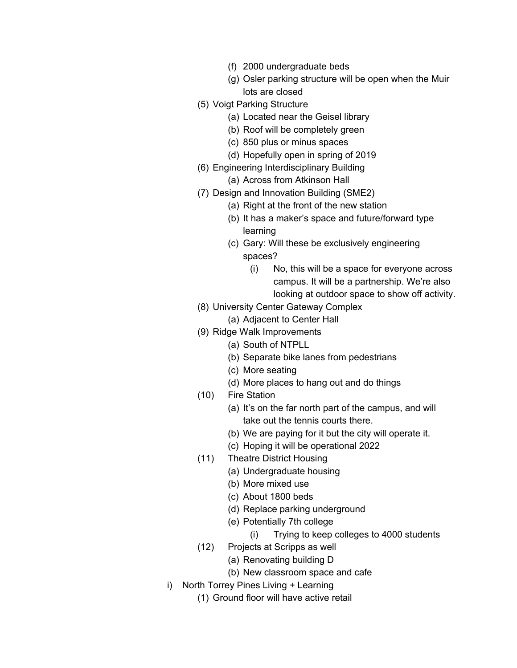- (f) 2000 undergraduate beds
- (g) Osler parking structure will be open when the Muir lots are closed
- (5) Voigt Parking Structure
	- (a) Located near the Geisel library
	- (b) Roof will be completely green
	- (c) 850 plus or minus spaces
	- (d) Hopefully open in spring of 2019
- (6) Engineering Interdisciplinary Building
	- (a) Across from Atkinson Hall
- (7) Design and Innovation Building (SME2)
	- (a) Right at the front of the new station
	- (b) It has a maker's space and future/forward type learning
	- (c) Gary: Will these be exclusively engineering spaces?
		- (i) No, this will be a space for everyone across campus. It will be a partnership. We're also looking at outdoor space to show off activity.
- (8) University Center Gateway Complex
	- (a) Adjacent to Center Hall
- (9) Ridge Walk Improvements
	- (a) South of NTPLL
	- (b) Separate bike lanes from pedestrians
	- (c) More seating
	- (d) More places to hang out and do things
- (10) Fire Station
	- (a) It's on the far north part of the campus, and will take out the tennis courts there.
	- (b) We are paying for it but the city will operate it.
	- (c) Hoping it will be operational 2022
- (11) Theatre District Housing
	- (a) Undergraduate housing
	- (b) More mixed use
	- (c) About 1800 beds
	- (d) Replace parking underground
	- (e) Potentially 7th college
		- (i) Trying to keep colleges to 4000 students
- (12) Projects at Scripps as well
	- (a) Renovating building D
	- (b) New classroom space and cafe
- i) North Torrey Pines Living + Learning
	- (1) Ground floor will have active retail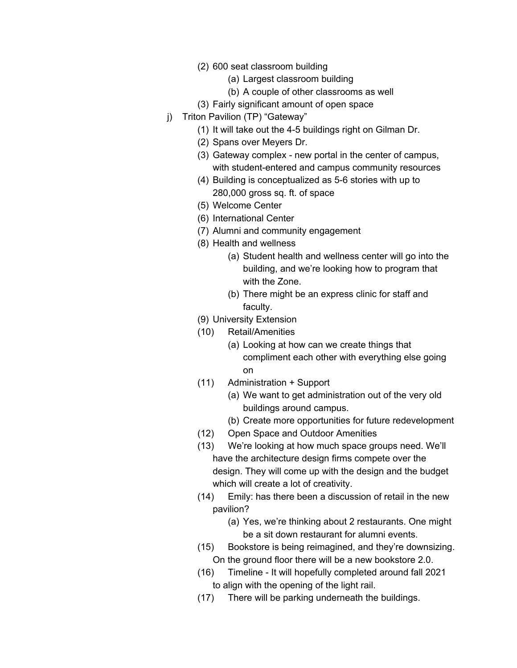- (2) 600 seat classroom building
	- (a) Largest classroom building
	- (b) A couple of other classrooms as well
- (3) Fairly significant amount of open space
- j) Triton Pavilion (TP) "Gateway"
	- (1) It will take out the 4-5 buildings right on Gilman Dr.
	- (2) Spans over Meyers Dr.
	- (3) Gateway complex new portal in the center of campus, with student-entered and campus community resources
	- (4) Building is conceptualized as 5-6 stories with up to 280,000 gross sq. ft. of space
	- (5) Welcome Center
	- (6) International Center
	- (7) Alumni and community engagement
	- (8) Health and wellness
		- (a) Student health and wellness center will go into the building, and we're looking how to program that with the Zone.
		- (b) There might be an express clinic for staff and faculty.
	- (9) University Extension
	- (10) Retail/Amenities
		- (a) Looking at how can we create things that compliment each other with everything else going on
	- (11) Administration + Support
		- (a) We want to get administration out of the very old buildings around campus.
		- (b) Create more opportunities for future redevelopment
	- (12) Open Space and Outdoor Amenities
	- (13) We're looking at how much space groups need. We'll have the architecture design firms compete over the design. They will come up with the design and the budget which will create a lot of creativity.
	- (14) Emily: has there been a discussion of retail in the new pavilion?
		- (a) Yes, we're thinking about 2 restaurants. One might be a sit down restaurant for alumni events.
	- (15) Bookstore is being reimagined, and they're downsizing. On the ground floor there will be a new bookstore 2.0.
	- (16) Timeline It will hopefully completed around fall 2021 to align with the opening of the light rail.
	- (17) There will be parking underneath the buildings.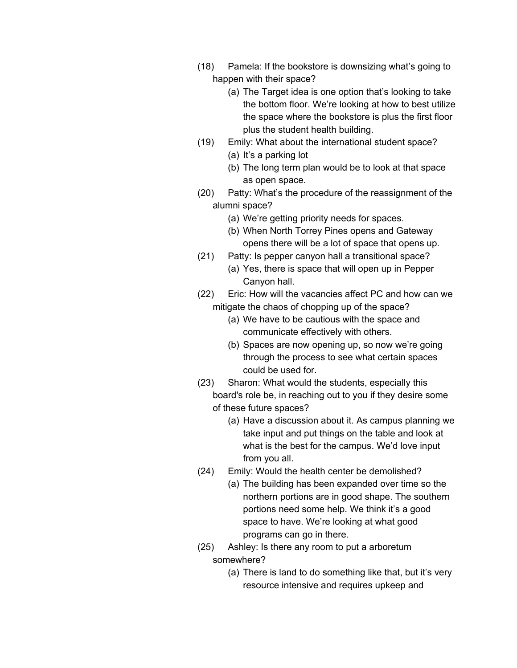- (18) Pamela: If the bookstore is downsizing what's going to happen with their space?
	- (a) The Target idea is one option that's looking to take the bottom floor. We're looking at how to best utilize the space where the bookstore is plus the first floor plus the student health building.
- (19) Emily: What about the international student space?
	- (a) It's a parking lot
	- (b) The long term plan would be to look at that space as open space.
- (20) Patty: What's the procedure of the reassignment of the alumni space?
	- (a) We're getting priority needs for spaces.
	- (b) When North Torrey Pines opens and Gateway opens there will be a lot of space that opens up.
- (21) Patty: Is pepper canyon hall a transitional space?
	- (a) Yes, there is space that will open up in Pepper Canyon hall.
- (22) Eric: How will the vacancies affect PC and how can we mitigate the chaos of chopping up of the space?
	- (a) We have to be cautious with the space and communicate effectively with others.
	- (b) Spaces are now opening up, so now we're going through the process to see what certain spaces could be used for.
- (23) Sharon: What would the students, especially this board's role be, in reaching out to you if they desire some of these future spaces?
	- (a) Have a discussion about it. As campus planning we take input and put things on the table and look at what is the best for the campus. We'd love input from you all.
- (24) Emily: Would the health center be demolished?
	- (a) The building has been expanded over time so the northern portions are in good shape. The southern portions need some help. We think it's a good space to have. We're looking at what good programs can go in there.
- (25) Ashley: Is there any room to put a arboretum somewhere?
	- (a) There is land to do something like that, but it's very resource intensive and requires upkeep and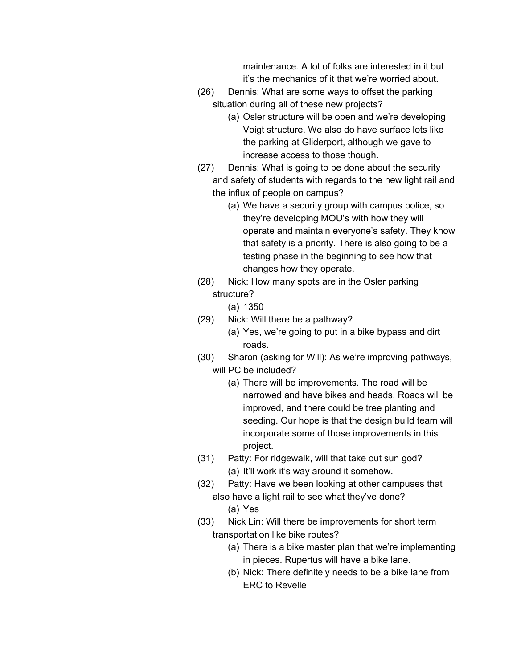maintenance. A lot of folks are interested in it but it's the mechanics of it that we're worried about.

- (26) Dennis: What are some ways to offset the parking situation during all of these new projects?
	- (a) Osler structure will be open and we're developing Voigt structure. We also do have surface lots like the parking at Gliderport, although we gave to increase access to those though.
- (27) Dennis: What is going to be done about the security and safety of students with regards to the new light rail and the influx of people on campus?
	- (a) We have a security group with campus police, so they're developing MOU's with how they will operate and maintain everyone's safety. They know that safety is a priority. There is also going to be a testing phase in the beginning to see how that changes how they operate.
- (28) Nick: How many spots are in the Osler parking structure?
	- (a) 1350
- (29) Nick: Will there be a pathway?
	- (a) Yes, we're going to put in a bike bypass and dirt roads.
- (30) Sharon (asking for Will): As we're improving pathways, will PC be included?
	- (a) There will be improvements. The road will be narrowed and have bikes and heads. Roads will be improved, and there could be tree planting and seeding. Our hope is that the design build team will incorporate some of those improvements in this project.
- (31) Patty: For ridgewalk, will that take out sun god? (a) It'll work it's way around it somehow.
- (32) Patty: Have we been looking at other campuses that also have a light rail to see what they've done?
	- (a) Yes
- (33) Nick Lin: Will there be improvements for short term transportation like bike routes?
	- (a) There is a bike master plan that we're implementing in pieces. Rupertus will have a bike lane.
	- (b) Nick: There definitely needs to be a bike lane from ERC to Revelle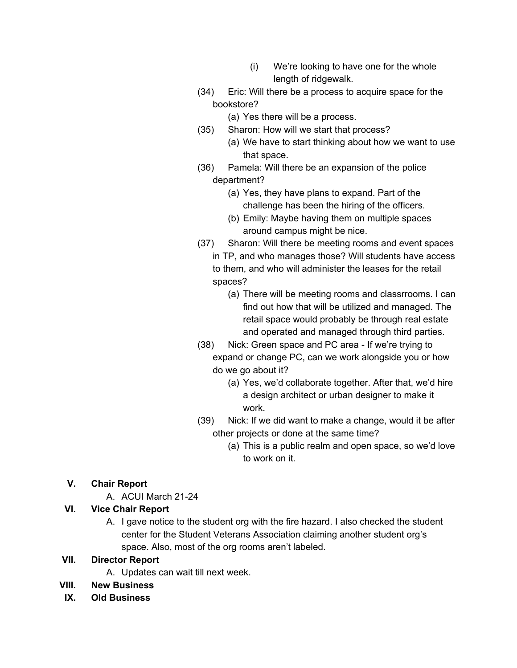- (i) We're looking to have one for the whole length of ridgewalk.
- (34) Eric: Will there be a process to acquire space for the bookstore?
	- (a) Yes there will be a process.
- (35) Sharon: How will we start that process?
	- (a) We have to start thinking about how we want to use that space.
- (36) Pamela: Will there be an expansion of the police department?
	- (a) Yes, they have plans to expand. Part of the challenge has been the hiring of the officers.
	- (b) Emily: Maybe having them on multiple spaces around campus might be nice.
- (37) Sharon: Will there be meeting rooms and event spaces in TP, and who manages those? Will students have access to them, and who will administer the leases for the retail spaces?
	- (a) There will be meeting rooms and classrrooms. I can find out how that will be utilized and managed. The retail space would probably be through real estate and operated and managed through third parties.
- (38) Nick: Green space and PC area If we're trying to expand or change PC, can we work alongside you or how do we go about it?
	- (a) Yes, we'd collaborate together. After that, we'd hire a design architect or urban designer to make it work.
- (39) Nick: If we did want to make a change, would it be after other projects or done at the same time?
	- (a) This is a public realm and open space, so we'd love to work on it.

## **V. Chair Report**

A. ACUI March 21-24

## **VI. Vice Chair Report**

A. I gave notice to the student org with the fire hazard. I also checked the student center for the Student Veterans Association claiming another student org's space. Also, most of the org rooms aren't labeled.

#### **VII. Director Report**

- A. Updates can wait till next week.
- **VIII. New Business**
- **IX. Old Business**